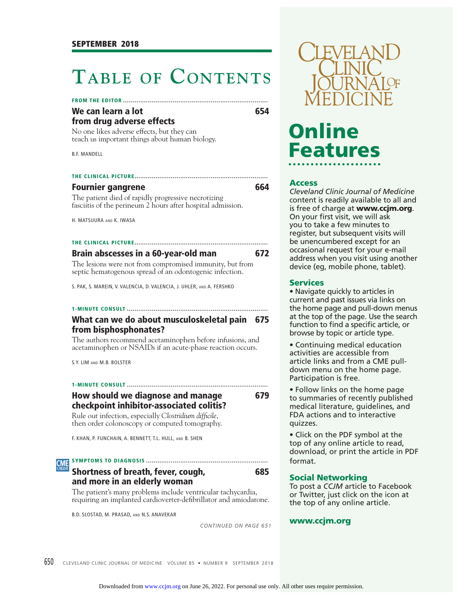# **TABLE OF CONTENTS**

**FROM THE EDITOR ............................................................................**

#### We can learn a lot **654 from drug adverse effects**

No one likes adverse effects, but they can teach us important things about human biology.

B.F. MANDELL

#### **THE CLINICAL PICTURE ......................................................................**

#### **Fournier gangrene** 664

The patient died of rapidly progressive necrotizing fasciitis of the perineum 2 hours after hospital admission.

H. MATSUURA AND K. IWASA

### **THE CLINICAL PICTURE ......................................................................**

#### **Brain abscesses in a 60-year-old man 672**

The lesions were not from compromised immunity, but from septic hematogenous spread of an odontogenic infection.

S. PAK, S. MAREIN, V. VALENCIA, D. VALENCIA, J. UHLER, AND A. FERSHKO

#### **1-MINUTE CONSULT .......................................................................... What can we do about musculoskeletal pain 675 from bisphosphonates?**

The authors recommend acetaminophen before infusions, and acetaminophen or NSAIDs if an acute-phase reaction occurs.

S.Y. LIM AND M.B. BOLSTER

**1-MINUTE CONSULT .......................................................................... How should we diagnose and manage 679 checkpoint inhibitor-associated colitis?**

Rule out infection, especially *Clostridium difficile*, then order colonoscopy or computed tomography.

F. KHAN, P. FUNCHAIN, A. BENNETT, T.L. HULL, AND B. SHEN

#### **SYMPTOMS TO DIAGNOSIS ................................................................ CME**

### **Shortness of breath, fever, cough, 685 and more in an elderly woman**

The patient's many problems include ventricular tachycardia, requiring an implanted cardioverter-defibrillator and amiodarone.

B.D. SLOSTAD, M. PRASAD, AND N.S. ANAVEKAR

*CONTINUED ON PAGE 651*



# **Online Features**

#### **Access**

*Cleveland Clinic Journal of Medicine*  content is readily available to all and is free of charge at **www.ccjm.org**. On your first visit, we will ask you to take a few minutes to register, but subsequent visits will be unencumbered except for an occasional request for your e-mail address when you visit using another device (eg, mobile phone, tablet).

#### **Services**

• Navigate quickly to articles in current and past issues via links on the home page and pull-down menus at the top of the page. Use the search function to find a specific article, or browse by topic or article type.

• Continuing medical education activities are accessible from article links and from a CME pulldown menu on the home page. Participation is free.

• Follow links on the home page to summaries of recently published medical literature, guidelines, and FDA actions and to interactive quizzes.

• Click on the PDF symbol at the top of any online article to read, download, or print the article in PDF format.

#### **Social Networking**

To post a *CCJM* article to Facebook or Twitter, just click on the icon at the top of any online article.

#### **www.ccjm.org**

650 CLEVELAND CLINIC JOURNAL OF MEDICINE VOLUME 85 • NUMBER 9 SEPTEMBER 2018